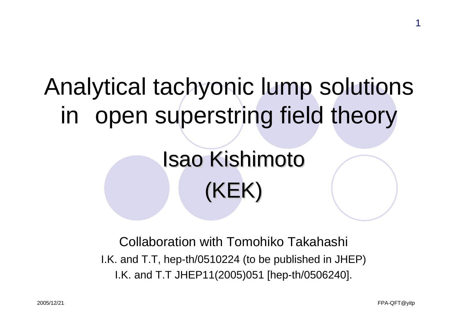# Analytical tachyonic lump solutions in open superstring field theory

# **Isao Kishimoto** (KEK)

Collaboration with Tomohiko Takahashi I.K. and T.T, hep-th/0510224 (to be published in JHEP) I.K. and T.T JHEP11(2005)051 [hep-th/0506240].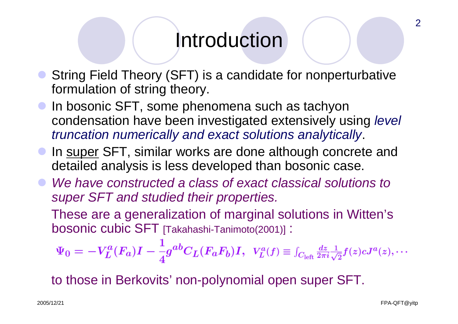### Introduction

- $\bullet$  String Field Theory (SFT) is a candidate for nonperturbative formulation of string theory.
- $\bullet$  In bosonic SFT, some phenomena such as tachyon condensation have been investigated extensively using *level truncation numerically and exact solutions analytically*.
- $\bullet$ In super SFT, similar works are done although concrete and detailed analysis is less developed than bosonic case.
- $\bullet$  *We have constructed a class of exact classical solutions to super SFT and studied their properties.*

These are a generalization of marginal solutions in Witten's bosonic cubic SFT [Takahashi-Tanimoto(2001)] :

$$
\Psi_0 = -V_L^a(F_a)I - \frac{1}{4}g^{ab}C_L(F_aF_b)I, \ \ V_L^a(f) \equiv \int_{C_{\text{left}}}\frac{dz}{2\pi i} \frac{1}{\sqrt{2}}f(z)cJ^a(z),\cdots
$$

to those in Berkovits' non-polynomial open super SFT.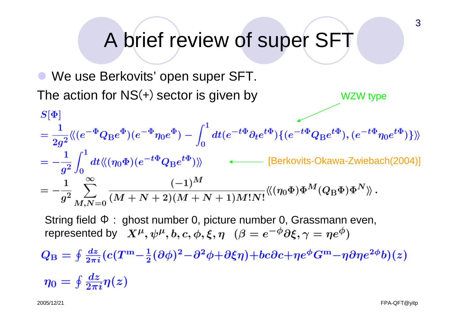## A brief review of super SFT

• We use Berkovits' open super SFT. The action for  $NS(+)$  sector is given by WZW type

$$
S[\Phi] = \frac{1}{2g^2} \langle (e^{-\Phi}Q_B e^{\Phi})(e^{-\Phi}\eta_0 e^{\Phi}) - \int_0^1 dt (e^{-t\Phi}\partial_t e^{t\Phi}) \{ (e^{-t\Phi}Q_B e^{t\Phi}), (e^{-t\Phi}\eta_0 e^{t\Phi}) \} \rangle \rangle
$$
  
\n
$$
= -\frac{1}{g^2} \int_0^1 dt \langle \langle (\eta_0 \Phi)(e^{-t\Phi}Q_B e^{t\Phi}) \rangle \rangle \longrightarrow \text{[Berkovits-Okawa-Zwiebach(2004)]}
$$
  
\n
$$
= -\frac{1}{g^2} \sum_{M,N=0}^\infty \frac{(-1)^M}{(M+N+2)(M+N+1)M!N!} \langle \langle (\eta_0 \Phi) \Phi^M (Q_B \Phi) \Phi^N \rangle \rangle.
$$

String field Φ : ghost number 0, picture number 0, Grassmann even, represented by  $X^{\mu}, \psi^{\mu}, b, c, \phi, \xi, \eta$   $(\beta = e^{-\phi}\partial \xi, \gamma = ne^{\phi})$ 

 $Q_{\rm B} = \oint \frac{dz}{2\pi i} (c(T^{\rm m}-\frac{1}{2}(\partial \phi)^2 - \partial^2 \phi + \partial \xi \eta) + bc \partial c + \eta e^{\phi} G^{\rm m} - \eta \partial \eta e^{2\phi} b)(z)$ 

$$
\eta_0 = \oint \frac{dz}{2\pi i} \eta(z)
$$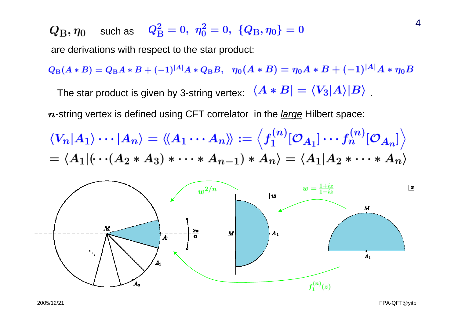$Q_\mathrm{B}, \eta_0$ such as

are derivations with respect to the star product:

 $Q_{\rm B}(A*B) = Q_{\rm B}A*B + (-1)^{|A|}A*Q_{\rm B}B$ ,  $\eta_0(A*B) = \eta_0A*B + (-1)^{|A|}A*\eta_0B$ The star product is given by 3-string vertex:  $\langle A * B | = \langle V_3 | A \rangle | B \rangle$ 

<sup>n</sup>-string vertex is defined using CFT correlator in the *large* Hilbert space:

$$
\langle V_n|A_1\rangle \cdots |A_n\rangle = \langle A_1 \cdots A_n \rangle := \langle f_1^{(n)}[\mathcal{O}_{A_1}] \cdots f_n^{(n)}[\mathcal{O}_{A_n}] \rangle
$$
  
=  $\langle A_1| (\cdots (A_2 * A_3) * \cdots * A_{n-1}) * A_n \rangle = \langle A_1|A_2 * \cdots * A_n \rangle$ 



4

2005/12/21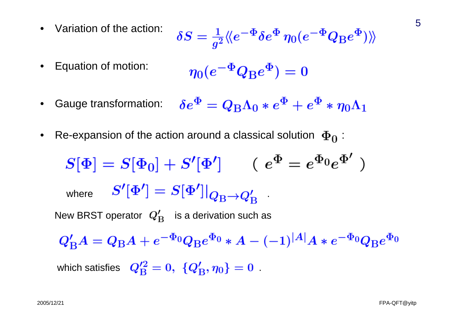• Variation of the action: 
$$
\delta S = \frac{1}{g^2} \langle \langle e^{-\Phi} \delta e^{\Phi} \eta_0 (e^{-\Phi} Q_{\rm B} e^{\Phi}) \rangle \rangle
$$

- Equation of motion:  $\eta_0(e^{-\Phi}Q_{\rm R}e^{\Phi})=0$
- $\delta e^{\Phi} = Q_{\rm B} \Lambda_0 * e^{\Phi} + e^{\Phi} * \eta_0 \Lambda_1$  Gauge transformation: •
- •Re-expansion of the action around a classical solution  $\Phi_0$ :

 $S[\Phi] = S[\Phi_0] + S'[\Phi']$  (  $e^{\Phi} = e^{\Phi_0}e^{\Phi'}$  ) where  $P[\Psi] \equiv P[\Psi]]Q_{\text{D}} \rightarrow Q'$ New BRST operator  $Q'_{\rm B}$  is a derivation such as  $Q_{\rm B}^{\prime}A=Q_{\rm B}A+e^{-\Phi_0}Q_{\rm B}e^{\Phi_0}*A-(-1)^{|A|}A*e^{-\Phi_0}Q_{\rm B}e^{\Phi_0}$ which satisfies  $Q_{\rm B}'^2=0, \{Q_{\rm B}',\eta_0\}=0$ .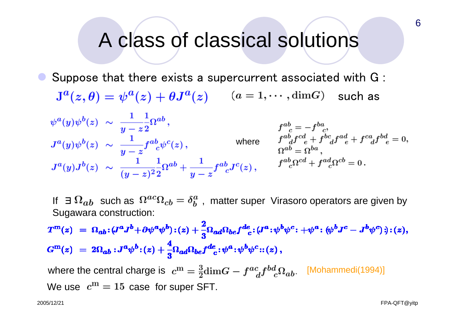### A class of classical solutions

 $\bullet$  Suppose that there exists a supercurrent associated with G : such as

$$
\begin{array}{llll}\n\psi^a(y)\psi^b(z)&\sim&\displaystyle\frac{1}{y-z^2}\Omega^{ab}\,,&\qquad&f^{ab}_{\quad c}=-f^{ba}_{\quad c},\\ \nJ^a(y)\psi^b(z)&\sim&\displaystyle\frac{1}{y-z}f^{ab}_{\quad c}\psi^c(z)\,,&\qquad&\text{where}&\qquad&f^{ab}_{\quad d}f^{cd}_{\quad e}+f^{bc}_{\quad d}f^{ad}_{\quad e}+f^{ca}_{\quad d}f^{bd}_{\quad e}=0,\\ \nJ^a(y)J^b(z)&\sim&\displaystyle\frac{1}{(y-z)^2}\frac{1}{2}\Omega^{ab}+\frac{1}{y-z}f^{ab}_{\quad c}J^c(z)\,,&\qquad&f^{ab}_{\quad c}\Omega^{cd}+f^{ad}_{\quad c}\Omega^{cb}=0\,.\\ \end{array}
$$

If ∃  $\Omega_{ab}$  such as  $\Omega^{ac}\Omega_{cb}=\delta^a_b$  , matter super Virasoro operators are given by Sugawara construction:

 $T^{m}(z) = \Omega_{ab} \cdot (J^a J^b + \partial \psi^a \psi^b) \cdot (z) + \frac{2}{3} \Omega_{ad} \Omega_{be} f^{de}_{\quad c} \cdot (J^a \cdot \psi^b \psi^c \cdot + \psi^a \cdot (\psi^b J^c - J^b \psi^c) \cdot ) \cdot (z),$  $G^{m}(z) = 2\Omega_{ab}: J^{a}\psi^{b}:(z) + \frac{4}{3}\Omega_{ad}\Omega_{be}f^{de}_{\;\;\;c}:\psi^{a}:\psi^{b}\psi^{c}::(z)\,,$ 

where the central charge is  $c^{\text{m}} = \frac{3}{2} \text{dim} G - f^{ac}_{d} f^{bd}_{c} \Omega_{ab}$ . [Mohammedi(1994)] We use  $c^{\text{m}} = 15$  case for super SFT.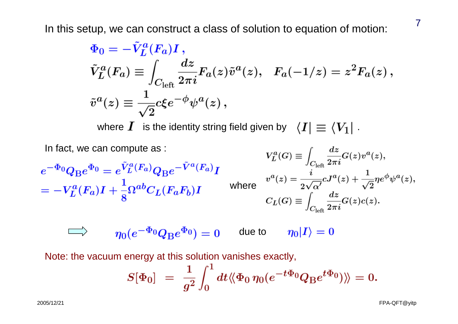In this setup, we can construct a class of solution to equation of motion:

$$
\begin{split} &\Phi_0=-\tilde{V}_L^a(F_a)I\,,\\ &\tilde{V}_L^a(F_a)\equiv\int_{C_{\rm left}}\frac{dz}{2\pi i}F_a(z)\tilde{v}^a(z),\ \ F_a(-1/z)=z^2F_a(z)\,,\\ &\tilde{v}^a(z)\equiv\frac{1}{\sqrt{2}}c\xi e^{-\phi}\psi^a(z)\,, \end{split}
$$

where  $\boldsymbol{I}$  is the identity string field given by  $\|\langle \boldsymbol{I}|\equiv \langle V_1|\rangle$  .

In fact, we can compute as:  
\n
$$
e^{-\Phi_0}Q_{\text{B}}e^{\Phi_0} = e^{\tilde{V}_L^a(F_a)}Q_{\text{B}}e^{-\tilde{V}^a(F_a)}I
$$
\n
$$
= -V_L^a(F_a)I + \frac{1}{8}\Omega^{ab}C_L(F_aF_b)I
$$
\nwhere  
\n
$$
{}^{v^a}(z) = \frac{i}{2\sqrt{\alpha'}}cJ^a(z) + \frac{1}{\sqrt{2}}\eta e^{\phi}\psi^a(z),
$$
\nwhere  
\n
$$
{}^{v^a}(z) = \frac{i}{2\sqrt{\alpha'}}cJ^a(z) + \frac{1}{\sqrt{2}}\eta e^{\phi}\psi^a(z),
$$
\n
$$
{}^{v^a}(G) = \int_{C_{\text{left}}} \frac{dz}{2\pi i}G(z)c(z).
$$
\n
$$
\implies \eta_0(e^{-\Phi_0}Q_{\text{B}}e^{\Phi_0}) = 0 \qquad \text{due to} \qquad \eta_0|I\rangle = 0
$$

Note: the vacuum energy at this solution vanishes exactly,

$$
S[\Phi_0] = \frac{1}{g^2} \int_0^1 dt \langle \langle \Phi_0 \eta_0 (e^{-t\Phi_0} Q_{\rm B} e^{t\Phi_0}) \rangle \rangle = 0.
$$

2005/12/21

FPA-QFT@yitp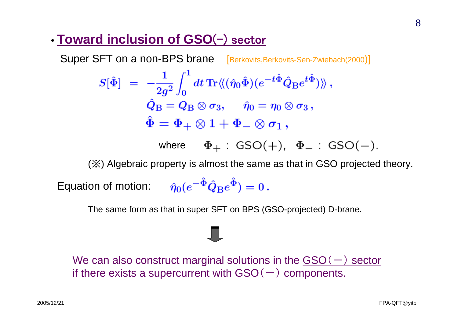#### • **Toward inclusion of GSO**(-) sector

Super SFT on a non-BPS brane [Berkovits,Berkovits-Sen-Zwiebach(2000)]

$$
\begin{array}{ll} S[\hat{\Phi}] & = \; -\dfrac{1}{2g^2}\int_0^1 dt\,\text{Tr}\langle\!\langle(\hat{\eta}_0\hat{\Phi})(e^{-t\hat{\Phi}}\hat{Q}_{\text{B}}e^{t\hat{\Phi}})\rangle\!\rangle \, ,\\[2mm] \hat{Q}_{\text{B}} & = \mathcal{Q}_{\text{B}}\otimes\sigma_3, \quad \hat{\eta}_0 = \eta_0\otimes\sigma_3 \, ,\\[2mm] \hat{\Phi} & = \Phi_+\otimes 1 + \Phi_-\otimes\sigma_1 \, , \end{array}
$$

where

(※) Algebraic property is almost the same as that in GSO projected theory.

Equation of motion:  $\hat{\eta}_0 (e^{-\hat{\Phi}} \hat{Q}_{\text{B}} e^{\hat{\Phi}}) = 0$ .

The same form as that in super SFT on BPS (GSO-projected) D-brane.

We can also construct marginal solutions in the  $GSO(-)$  sector if there exists a supercurrent with  $GSO(-)$  components.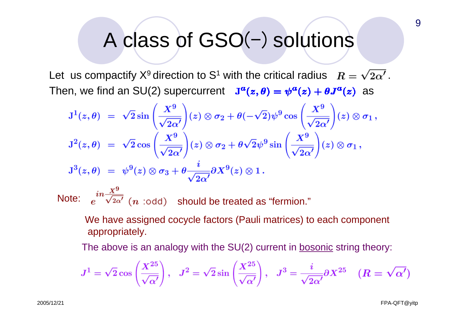# A class of GSO(-) solutions

Let us compactify  $X^9$  direction to S<sup>1</sup> with the critical radius  $R = \sqrt{2\alpha'}$ . Then, we find an SU(2) supercurrent  $J^a(z, \theta) = \psi^a(z) + \theta J^a(z)$  as

$$
J^1(z,\theta) = \sqrt{2}\sin\left(\frac{X^9}{\sqrt{2\alpha'}}\right)(z) \otimes \sigma_2 + \theta(-\sqrt{2})\psi^9 \cos\left(\frac{X^9}{\sqrt{2\alpha'}}\right)(z) \otimes \sigma_1,
$$
  

$$
J^2(z,\theta) = \sqrt{2}\cos\left(\frac{X^9}{\sqrt{2\alpha'}}\right)(z) \otimes \sigma_2 + \theta\sqrt{2}\psi^9 \sin\left(\frac{X^9}{\sqrt{2\alpha'}}\right)(z) \otimes \sigma_1,
$$
  

$$
J^3(z,\theta) = \psi^9(z) \otimes \sigma_3 + \theta \frac{i}{\sqrt{2\alpha'}}\partial X^9(z) \otimes 1.
$$

Note:  $e^{i\theta}\overline{\sqrt{2\alpha'}}$   $(n$  :odd) should be treated as "fermion."

We have assigned cocycle factors (Pauli matrices) to each component appropriately.

The above is an analogy with the SU(2) current in bosonic string theory:

$$
J^{1} = \sqrt{2} \cos \left(\frac{X^{25}}{\sqrt{\alpha'}}\right), \quad J^{2} = \sqrt{2} \sin \left(\frac{X^{25}}{\sqrt{\alpha'}}\right), \quad J^{3} = \frac{i}{\sqrt{2\alpha'}} \partial X^{25} \quad (R = \sqrt{\alpha'})
$$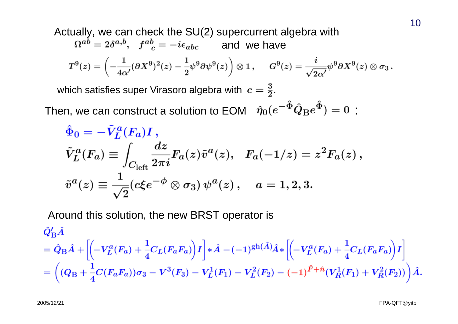Actually, we can check the SU(2) supercurrent algebra with  
\n
$$
\Omega^{ab} = 2\delta^{a,b}, \quad f^{ab}_{c} = -i\epsilon_{abc} \quad \text{and we have}
$$
\n
$$
T^{9}(z) = \left(-\frac{1}{4\alpha'}(\partial X^{9})^{2}(z) - \frac{1}{2}\psi^{9}\partial\psi^{9}(z)\right) \otimes 1, \quad G^{9}(z) = \frac{i}{\sqrt{2\alpha'}}\psi^{9}\partial X^{9}(z) \otimes \sigma_{3}.
$$
\nwhich satisfies super Virasoro algebra with  $c = \frac{3}{2}$ .  
\nThen, we can construct a solution to EOM  $\hat{\eta}_{0}(e^{-\hat{\Phi}}\hat{Q}_{\text{B}}e^{\hat{\Phi}}) = 0$ :  
\n
$$
\hat{\Phi}_{0} = -\tilde{V}_{L}^{a}(F_{a})I,
$$
\n
$$
\tilde{V}_{L}^{a}(F_{a}) \equiv \int_{C_{\text{left}}}\frac{dz}{2\pi i}F_{a}(z)\tilde{v}^{a}(z), \quad F_{a}(-1/z) = z^{2}F_{a}(z),
$$
\n
$$
\tilde{v}^{a}(z) \equiv \frac{1}{\sqrt{2}}(c\xi e^{-\phi} \otimes \sigma_{3})\psi^{a}(z), \quad a = 1, 2, 3.
$$

Around this solution, the new BRST operator is

$$
\begin{split} &\hat{Q}'_{\text{B}}\hat{A} \\ &= \hat{Q}_{\text{B}}\hat{A} + \left[ \left( -V_L^a(F_a) + \frac{1}{4}C_L(F_aF_a) \right)I \right] * \hat{A} - (-1)^{\text{gh}(\hat{A})}\hat{A} * \left[ \left( -V_L^a(F_a) + \frac{1}{4}C_L(F_aF_a) \right)I \right] \\ &= \left( (Q_{\text{B}} + \frac{1}{4}C(F_aF_a))\sigma_3 - V^3(F_3) - V_L^1(F_1) - V_L^2(F_2) - (-1)^{\hat{F}+\hat{n}}(V_R^1(F_1) + V_R^2(F_2)) \right)\hat{A}. \end{split}
$$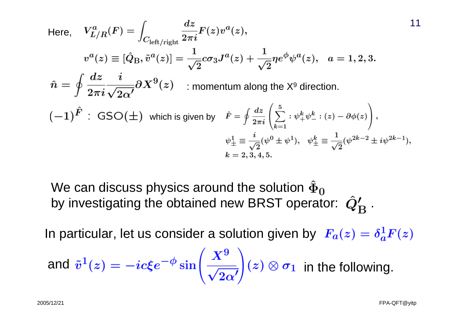Here, 
$$
V_{L/R}^a(F) = \int_{C_{\text{left/right}}} \frac{dz}{2\pi i} F(z) v^a(z)
$$
,  
\n
$$
v^a(z) \equiv [\hat{Q}_B, \tilde{v}^a(z)] = \frac{1}{\sqrt{2}} c \sigma_3 J^a(z) + \frac{1}{\sqrt{2}} \eta e^{\phi} \psi^a(z), \quad a = 1, 2, 3.
$$
\n
$$
\hat{n} = \oint \frac{dz}{2\pi i} \frac{i}{\sqrt{2\alpha'}} \partial X^9(z) \quad \text{:\,momentum along the } X^9 \text{ direction.}
$$
\n
$$
(-1)^{\hat{F}} : \text{GSO}(\pm) \text{ which is given by } \quad \hat{F} = \oint \frac{dz}{2\pi i} \left( \sum_{k=1}^5 : \psi_+^k \psi_-^k : (z) - \partial \phi(z) \right),
$$
\n
$$
\psi_{\pm}^1 \equiv \frac{i}{\sqrt{2}} (\psi^0 \pm \psi^1), \quad \psi_{\pm}^k \equiv \frac{1}{\sqrt{2}} (\psi^{2k-2} \pm i \psi^{2k-1}),
$$
\n
$$
k = 2, 3, 4, 5.
$$

We can discuss physics around the solution  $\hat{\Phi}_0$ by investigating the obtained new BRST operator:  $\hat{Q}'_{\text{B}}$ .

In particular, let us consider a solution given by  $F_a(z) = \delta_a^1 F(z)$ 

and 
$$
\tilde{v}^1(z) = -ic\xi e^{-\phi} \sin\left(\frac{X^9}{\sqrt{2\alpha'}}\right)(z) \otimes \sigma_1
$$
 in the following.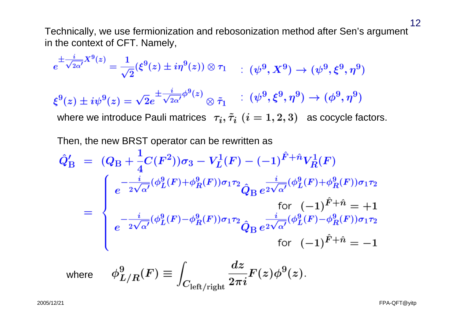Technically, we use fermionization and rebosonization method after Sen's argument in the context of CFT. Namely,

$$
e^{\pm \frac{i}{\sqrt{2\alpha'}} X^9(z)} = \frac{1}{\sqrt{2}} (\xi^9(z) \pm i\eta^9(z)) \otimes \tau_1 \qquad : (\psi^9, X^9) \to (\psi^9, \xi^9, \eta^9)
$$
  
\n
$$
\xi^9(z) \pm i\psi^9(z) = \sqrt{2}e^{\pm \frac{i}{\sqrt{2\alpha'}}\phi^9(z)} \otimes \tilde{\tau}_1 \qquad : (\psi^9, \xi^9, \eta^9) \to (\phi^9, \eta^9)
$$
  
\nwhere we introduce Pauli matrices  $\tau_i, \tilde{\tau}_i$   $(i = 1, 2, 3)$  as cocycle factors.  
\nThen, the new BRST operator can be rewritten as  
\n
$$
\hat{Q}'_B = (Q_B + \frac{1}{4}C(F^2))\sigma_3 - V_L^1(F) - (-1)^{\hat{F}+\hat{n}}V_R^1(F)
$$
\n
$$
e^{-\frac{i}{2\sqrt{\alpha'}}(\phi_L^9(F) + \phi_R^9(F))\sigma_1\tau_2} \hat{Q}_B e^{\frac{i}{2\sqrt{\alpha'}}(\phi_L^9(F) + \phi_R^9(F))\sigma_1\tau_2}
$$
\nfor  $(-1)^{\hat{F}+\hat{n}} = +1$   
\n
$$
e^{-\frac{i}{2\sqrt{\alpha'}}(\phi_L^9(F) - \phi_R^9(F))\sigma_1\tau_2} \hat{Q}_B e^{\frac{i}{2\sqrt{\alpha'}}(\phi_L^9(F) - \phi_R^9(F))\sigma_1\tau_2}
$$
\nfor  $(-1)^{\hat{F}+\hat{n}} = -1$ 

where

$$
\phi_{L/R}^9(F) \equiv \int_{C_{\rm left/right}} \frac{dz}{2\pi i} F(z) \phi^9(z).
$$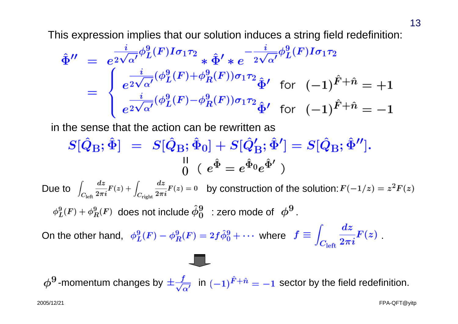This expression implies that our solution induces a string field redefinition:

$$
\hat{\Phi}'' = e^{\frac{i}{2\sqrt{\alpha'}}\phi_L^9(F)I\sigma_1\tau_2} * \hat{\Phi}' * e^{-\frac{i}{2\sqrt{\alpha'}}\phi_L^9(F)I\sigma_1\tau_2}
$$
\n
$$
= \begin{cases}\n\frac{i}{e^{2\sqrt{\alpha'}}}(\phi_L^9(F) + \phi_R^9(F))\sigma_1\tau_2 \\ \frac{i}{e^{2\sqrt{\alpha'}}}(\phi_L^9(F) - \phi_R^9(F))\sigma_1\tau_2 \\ \frac{i}{e^{2\sqrt{\alpha'}}}(\phi_L^9(F) - \phi_R^9(F))\sigma_1\tau_2 \\ \hat{\Phi}' \quad \text{for} \quad (-1)^{\hat{F} + \hat{n}} = -1\n\end{cases}
$$

in the sense that the action can be rewritten as

$$
S[\hat{Q}_{\mathrm{B}};\hat{\Phi}] \;\; = \;\; S[\hat{Q}_{\mathrm{B}};\hat{\Phi}_0] + S[\hat{Q}_{\mathrm{B}}';\hat{\Phi}'] = S[\hat{Q}_{\mathrm{B}};\hat{\Phi}''] . \nonumber \\ \phantom{S[\hat{Q}_{\mathrm{B}};\hat{\Phi}]}{}_{0} \;\; (\; e^{\hat{\Phi}} = e^{\hat{\Phi}_0} e^{\hat{\Phi}'}\; )
$$

Due to  $\int_{C_1} \frac{dz}{2\pi i} F(z) + \int_{C_1} \frac{dz}{2\pi i} F(z) = 0$  by construction of the solution:  $F(-1/z) = z^2 F(z)$ does not include  $\phi^{\sigma}_{0}$  : zero mode of  $\phi^{\sigma}$  .

On the other hand,  $\phi_L^9(F) - \phi_R^9(F) = 2f\hat{\phi}_0^9 + \cdots$  where  $f \equiv \int_{C_1} \frac{dz}{2\pi i} F(z)$ .

 $\phi^9$ -momentum changes by  $\pm \frac{f}{\sqrt{\alpha'}}$  in  $(-1)^{\hat{F}+\hat{n}} = -1$  sector by the field redefinition.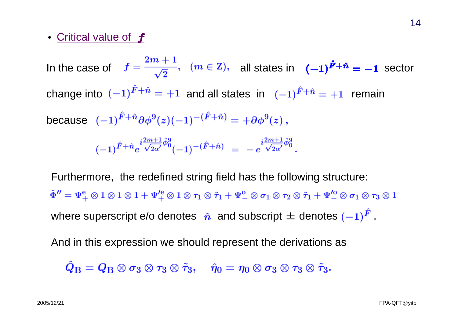#### • Critical value of  $\bm{f}$

In the case of  $f = \frac{1}{\sqrt{2}}$ ,  $(m \in \mathbb{Z})$ , all states in  $(-1)^{r+n} = -1$  sector change into  $(-1)^{\hat{F}+\hat{n}} = +1$  and all states in  $(-1)^{\hat{F}+\hat{n}} = +1$  remain because  $(-1)^{\hat{F}+\hat{n}}e^{i\frac{2m+1}{\sqrt{2\alpha'}}\hat{\phi}^9_0}(-1)^{-(\hat{F}+\hat{n})} = -e^{i\frac{2m+1}{\sqrt{2\alpha'}}\hat{\phi}^9_0}.$ 

Furthermore, the redefined string field has the following structure:  $\hat{\Phi}'' = \Psi_{+}^{e} \otimes 1 \otimes 1 \otimes 1 + \Psi_{+}^{\prime e} \otimes 1 \otimes \tau_1 \otimes \tilde{\tau}_1 + \Psi_{-}^{0} \otimes \sigma_1 \otimes \tau_2 \otimes \tilde{\tau}_1 + \Psi_{-}^{\prime o} \otimes \sigma_1 \otimes \tau_3 \otimes 1$ where superscript e/o denotes  $\hat{n}$  and subscript  $\pm$  denotes  $(-1)^{\hat{F}}$ .

And in this expression we should represent the derivations as

$$
\hat{Q}_{\mathrm{B}} = Q_{\mathrm{B}} \otimes \sigma_3 \otimes \tau_3 \otimes \tilde{\tau}_3, \quad \hat{\eta}_0 = \eta_0 \otimes \sigma_3 \otimes \tau_3 \otimes \tilde{\tau}_3.
$$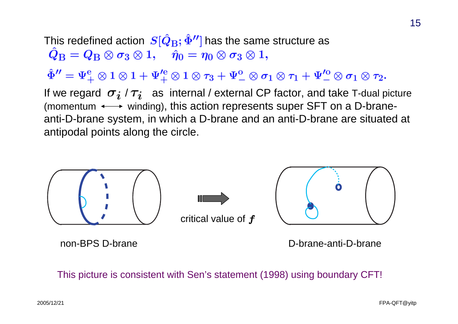This redefined action  $\, {\bm S}[{\bm Q}_{\bf B};\Phi''] \,$  has the same structure as  $\hat{Q}_{\rm B} = Q_{\rm B} \otimes \sigma_3 \otimes 1, \quad \hat{\eta}_0 = \eta_0 \otimes \sigma_3 \otimes 1,$  $\hat{\Phi}'' = \Psi_{+}^{e} \otimes 1 \otimes 1 + \Psi_{+}'^{e} \otimes 1 \otimes \tau_3 + \Psi_{-}^{o} \otimes \sigma_1 \otimes \tau_1 + \Psi_{-}'^{o} \otimes \sigma_1 \otimes \tau_2.$ If we regard  $\sigma_i / \tau_i$  as internal / external CP factor, and take T-dual picture (momentum  $\longleftrightarrow$  winding), this action represents super SFT on a D-braneanti-D-brane system, in which a D-brane and an anti-D-brane are situated at antipodal points along the circle.



non-BPS D-brane

D-brane-anti-D-brane

This picture is consistent with Sen's statement (1998) using boundary CFT!